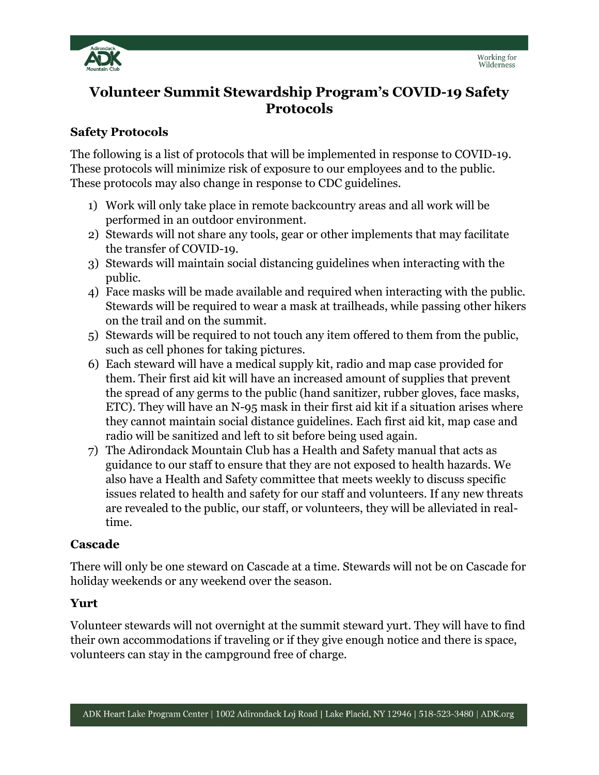

# **Volunteer Summit Stewardship Program's COVID-19 Safety Protocols**

### **Safety Protocols**

The following is a list of protocols that will be implemented in response to COVID-19. These protocols will minimize risk of exposure to our employees and to the public. These protocols may also change in response to CDC guidelines.

- 1) Work will only take place in remote backcountry areas and all work will be performed in an outdoor environment.
- 2) Stewards will not share any tools, gear or other implements that may facilitate the transfer of COVID-19.
- 3) Stewards will maintain social distancing guidelines when interacting with the public.
- 4) Face masks will be made available and required when interacting with the public. Stewards will be required to wear a mask at trailheads, while passing other hikers on the trail and on the summit.
- 5) Stewards will be required to not touch any item offered to them from the public, such as cell phones for taking pictures.
- 6) Each steward will have a medical supply kit, radio and map case provided for them. Their first aid kit will have an increased amount of supplies that prevent the spread of any germs to the public (hand sanitizer, rubber gloves, face masks, ETC). They will have an N-95 mask in their first aid kit if a situation arises where they cannot maintain social distance guidelines. Each first aid kit, map case and radio will be sanitized and left to sit before being used again.
- 7) The Adirondack Mountain Club has a Health and Safety manual that acts as guidance to our staff to ensure that they are not exposed to health hazards. We also have a Health and Safety committee that meets weekly to discuss specific issues related to health and safety for our staff and volunteers. If any new threats are revealed to the public, our staff, or volunteers, they will be alleviated in realtime.

#### **Cascade**

There will only be one steward on Cascade at a time. Stewards will not be on Cascade for holiday weekends or any weekend over the season.

#### **Yurt**

Volunteer stewards will not overnight at the summit steward yurt. They will have to find their own accommodations if traveling or if they give enough notice and there is space, volunteers can stay in the campground free of charge.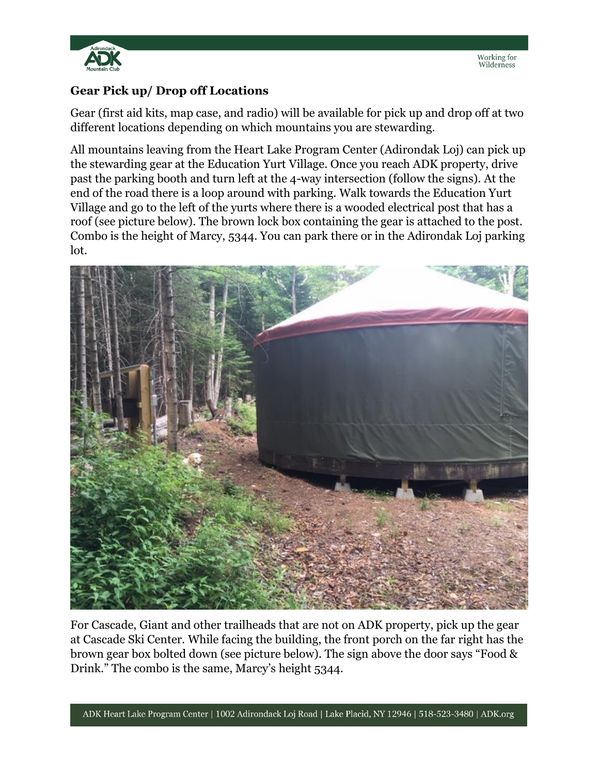

## **Gear Pick up/ Drop off Locations**

Gear (first aid kits, map case, and radio) will be available for pick up and drop off at two different locations depending on which mountains you are stewarding.

All mountains leaving from the Heart Lake Program Center (Adirondak Loj) can pick up the stewarding gear at the Education Yurt Village. Once you reach ADK property, drive past the parking booth and turn left at the 4-way intersection (follow the signs). At the end of the road there is a loop around with parking. Walk towards the Education Yurt Village and go to the left of the yurts where there is a wooded electrical post that has a roof (see picture below). The brown lock box containing the gear is attached to the post. Combo is the height of Marcy, 5344. You can park there or in the Adirondak Loj parking lot.



For Cascade, Giant and other trailheads that are not on ADK property, pick up the gear at Cascade Ski Center. While facing the building, the front porch on the far right has the brown gear box bolted down (see picture below). The sign above the door says "Food & Drink." The combo is the same, Marcy's height 5344.